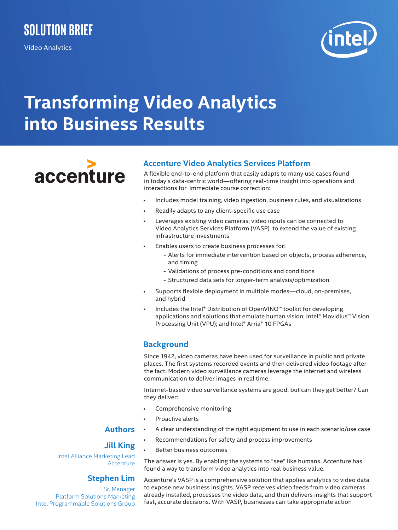Video Analytics



# **Transforming Video Analytics into Business Results**

accenture

## **Accenture Video Analytics Services Platform**

A flexible end-to-end platform that easily adapts to many use cases found in today's data-centric world—offering real-time insight into operations and interactions for immediate course correction:

- Includes model training, video ingestion, business rules, and visualizations
- Readily adapts to any client-specific use case
- Leverages existing video cameras; video inputs can be connected to Video Analytics Services Platform (VASP) to extend the value of existing infrastructure investments
- Enables users to create business processes for:
	- Alerts for immediate intervention based on objects, process adherence, and timing
	- Validations of process pre-conditions and conditions
	- Structured data sets for longer-term analysis/optimization
- Supports flexible deployment in multiple modes—cloud, on-premises, and hybrid
- Includes the Intel® Distribution of OpenVINO™ toolkit for developing applications and solutions that emulate human vision; Intel® Movidius™ Vision Processing Unit (VPU); and Intel® Arria® 10 FPGAs

## **Background**

Since 1942, video cameras have been used for surveillance in public and private places. The first systems recorded events and then delivered video footage after the fact. Modern video surveillance cameras leverage the internet and wireless communication to deliver images in real time.

Internet-based video surveillance systems are good, but can they get better? Can they deliver:

- Comprehensive monitoring
- Proactive alerts
- A clear understanding of the right equipment to use in each scenario/use case
- Recommendations for safety and process improvements
- Better business outcomes

#### The answer is yes. By enabling the systems to "see" like humans, Accenture has found a way to transform video analytics into real business value.

Accenture's VASP is a comprehensive solution that applies analytics to video data to expose new business insights. VASP receives video feeds from video cameras already installed, processes the video data, and then delivers insights that support fast, accurate decisions. With VASP, businesses can take appropriate action

# **Authors**

## **Jill King**

Intel Alliance Marketing Lead Accenture

#### **Stephen Lim**

Sr. Manager Platform Solutions Marketing Intel Programmable Solutions Group